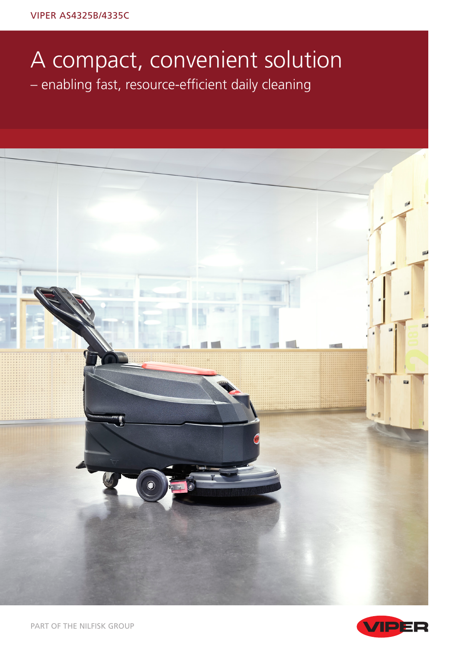## A compact, convenient solution – enabling fast, resource-efficient daily cleaning